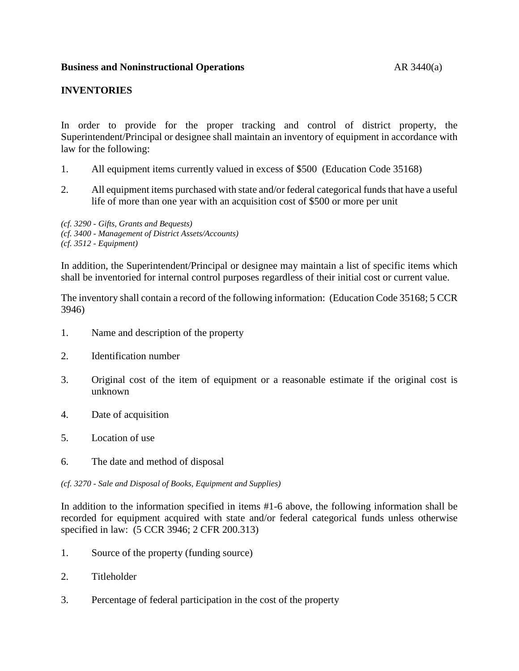## **INVENTORIES**

In order to provide for the proper tracking and control of district property, the Superintendent/Principal or designee shall maintain an inventory of equipment in accordance with law for the following:

- 1. All equipment items currently valued in excess of \$500 (Education Code 35168)
- 2. All equipment items purchased with state and/or federal categorical funds that have a useful life of more than one year with an acquisition cost of \$500 or more per unit

*(cf. 3290 - Gifts, Grants and Bequests) (cf. 3400 - Management of District Assets/Accounts) (cf. 3512 - Equipment)*

In addition, the Superintendent/Principal or designee may maintain a list of specific items which shall be inventoried for internal control purposes regardless of their initial cost or current value.

The inventory shall contain a record of the following information: (Education Code 35168; 5 CCR 3946)

- 1. Name and description of the property
- 2. Identification number
- 3. Original cost of the item of equipment or a reasonable estimate if the original cost is unknown
- 4. Date of acquisition
- 5. Location of use
- 6. The date and method of disposal

*(cf. 3270 - Sale and Disposal of Books, Equipment and Supplies)*

In addition to the information specified in items #1-6 above, the following information shall be recorded for equipment acquired with state and/or federal categorical funds unless otherwise specified in law: (5 CCR 3946; 2 CFR 200.313)

- 1. Source of the property (funding source)
- 2. Titleholder
- 3. Percentage of federal participation in the cost of the property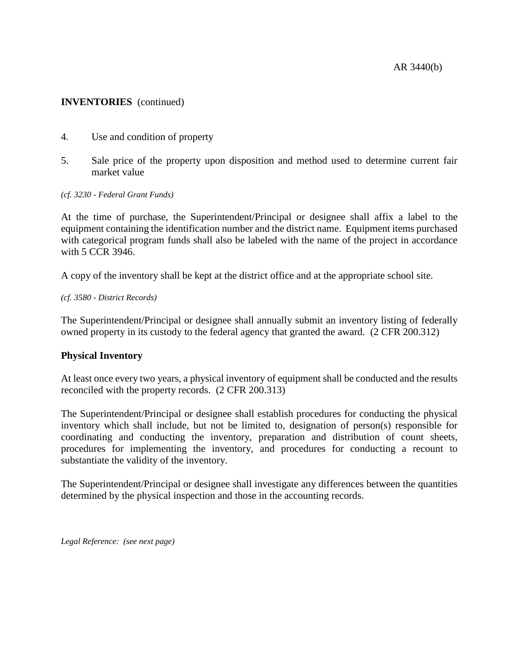# **INVENTORIES** (continued)

- 4. Use and condition of property
- 5. Sale price of the property upon disposition and method used to determine current fair market value

#### *(cf. 3230 - Federal Grant Funds)*

At the time of purchase, the Superintendent/Principal or designee shall affix a label to the equipment containing the identification number and the district name. Equipment items purchased with categorical program funds shall also be labeled with the name of the project in accordance with 5 CCR 3946.

A copy of the inventory shall be kept at the district office and at the appropriate school site.

#### *(cf. 3580 - District Records)*

The Superintendent/Principal or designee shall annually submit an inventory listing of federally owned property in its custody to the federal agency that granted the award. (2 CFR 200.312)

## **Physical Inventory**

At least once every two years, a physical inventory of equipment shall be conducted and the results reconciled with the property records. (2 CFR 200.313)

The Superintendent/Principal or designee shall establish procedures for conducting the physical inventory which shall include, but not be limited to, designation of person(s) responsible for coordinating and conducting the inventory, preparation and distribution of count sheets, procedures for implementing the inventory, and procedures for conducting a recount to substantiate the validity of the inventory.

The Superintendent/Principal or designee shall investigate any differences between the quantities determined by the physical inspection and those in the accounting records.

*Legal Reference: (see next page)*